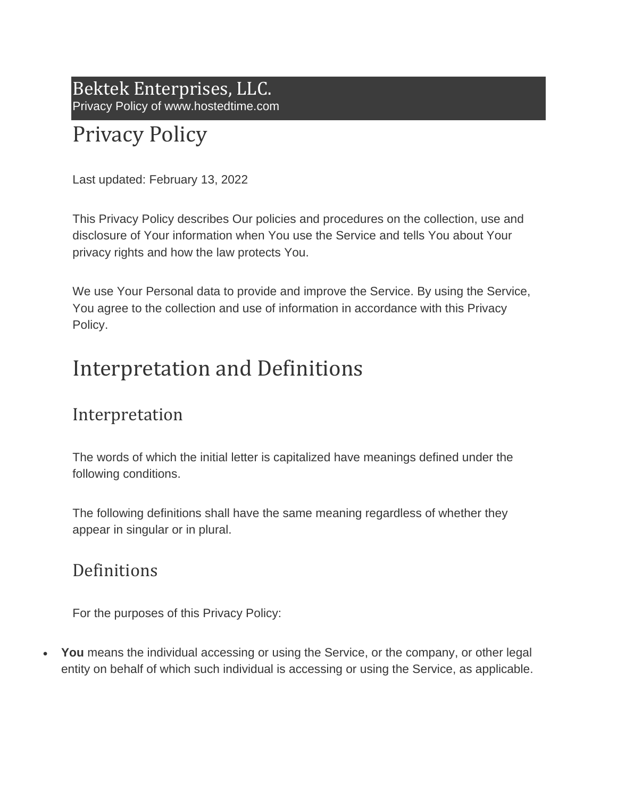Bektek Enterprises, LLC. Privacy Policy of www.hostedtime.com

# Privacy Policy

Last updated: February 13, 2022

This Privacy Policy describes Our policies and procedures on the collection, use and disclosure of Your information when You use the Service and tells You about Your privacy rights and how the law protects You.

We use Your Personal data to provide and improve the Service. By using the Service, You agree to the collection and use of information in accordance with this Privacy Policy.

## Interpretation and Definitions

### Interpretation

The words of which the initial letter is capitalized have meanings defined under the following conditions.

The following definitions shall have the same meaning regardless of whether they appear in singular or in plural.

### Definitions

For the purposes of this Privacy Policy:

• **You** means the individual accessing or using the Service, or the company, or other legal entity on behalf of which such individual is accessing or using the Service, as applicable.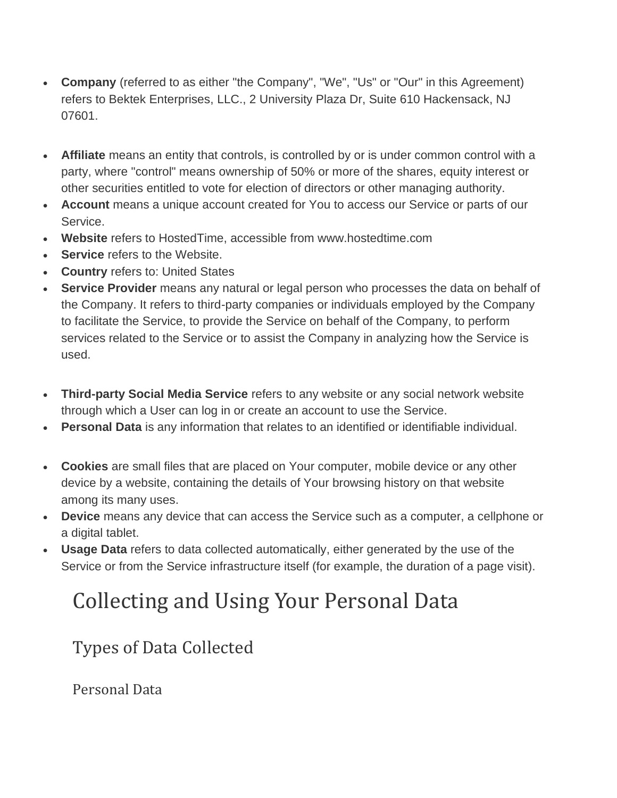- **Company** (referred to as either "the Company", "We", "Us" or "Our" in this Agreement) refers to Bektek Enterprises, LLC., 2 University Plaza Dr, Suite 610 Hackensack, NJ 07601.
- **Affiliate** means an entity that controls, is controlled by or is under common control with a party, where "control" means ownership of 50% or more of the shares, equity interest or other securities entitled to vote for election of directors or other managing authority.
- **Account** means a unique account created for You to access our Service or parts of our Service.
- **Website** refers to HostedTime, accessible from www.hostedtime.com
- **Service** refers to the Website.
- **Country** refers to: United States
- **Service Provider** means any natural or legal person who processes the data on behalf of the Company. It refers to third-party companies or individuals employed by the Company to facilitate the Service, to provide the Service on behalf of the Company, to perform services related to the Service or to assist the Company in analyzing how the Service is used.
- **Third-party Social Media Service** refers to any website or any social network website through which a User can log in or create an account to use the Service.
- **Personal Data** is any information that relates to an identified or identifiable individual.
- **Cookies** are small files that are placed on Your computer, mobile device or any other device by a website, containing the details of Your browsing history on that website among its many uses.
- **Device** means any device that can access the Service such as a computer, a cellphone or a digital tablet.
- **Usage Data** refers to data collected automatically, either generated by the use of the Service or from the Service infrastructure itself (for example, the duration of a page visit).

# Collecting and Using Your Personal Data

## Types of Data Collected

Personal Data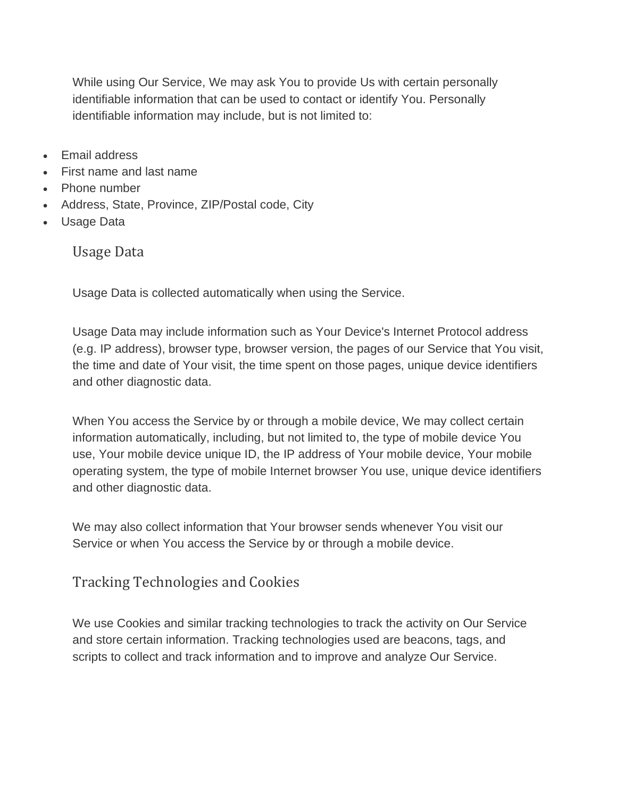While using Our Service, We may ask You to provide Us with certain personally identifiable information that can be used to contact or identify You. Personally identifiable information may include, but is not limited to:

- Email address
- First name and last name
- Phone number
- Address, State, Province, ZIP/Postal code, City
- Usage Data

Usage Data

Usage Data is collected automatically when using the Service.

Usage Data may include information such as Your Device's Internet Protocol address (e.g. IP address), browser type, browser version, the pages of our Service that You visit, the time and date of Your visit, the time spent on those pages, unique device identifiers and other diagnostic data.

When You access the Service by or through a mobile device, We may collect certain information automatically, including, but not limited to, the type of mobile device You use, Your mobile device unique ID, the IP address of Your mobile device, Your mobile operating system, the type of mobile Internet browser You use, unique device identifiers and other diagnostic data.

We may also collect information that Your browser sends whenever You visit our Service or when You access the Service by or through a mobile device.

Tracking Technologies and Cookies

We use Cookies and similar tracking technologies to track the activity on Our Service and store certain information. Tracking technologies used are beacons, tags, and scripts to collect and track information and to improve and analyze Our Service.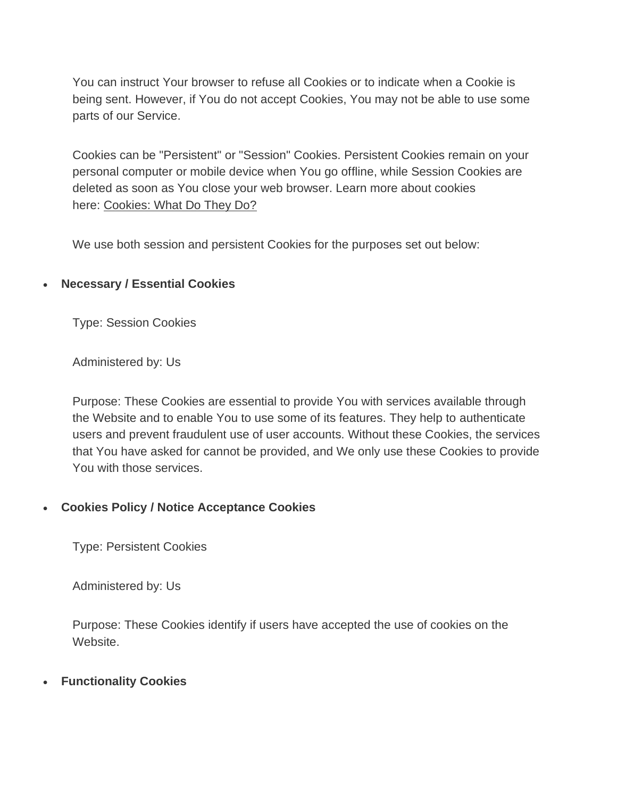You can instruct Your browser to refuse all Cookies or to indicate when a Cookie is being sent. However, if You do not accept Cookies, You may not be able to use some parts of our Service.

Cookies can be "Persistent" or "Session" Cookies. Persistent Cookies remain on your personal computer or mobile device when You go offline, while Session Cookies are deleted as soon as You close your web browser. Learn more about cookies here: [Cookies: What Do They Do?](https://www.freeprivacypolicy.com/blog/cookies/)

We use both session and persistent Cookies for the purposes set out below:

#### • **Necessary / Essential Cookies**

Type: Session Cookies

Administered by: Us

Purpose: These Cookies are essential to provide You with services available through the Website and to enable You to use some of its features. They help to authenticate users and prevent fraudulent use of user accounts. Without these Cookies, the services that You have asked for cannot be provided, and We only use these Cookies to provide You with those services.

#### • **Cookies Policy / Notice Acceptance Cookies**

Type: Persistent Cookies

Administered by: Us

Purpose: These Cookies identify if users have accepted the use of cookies on the Website.

#### • **Functionality Cookies**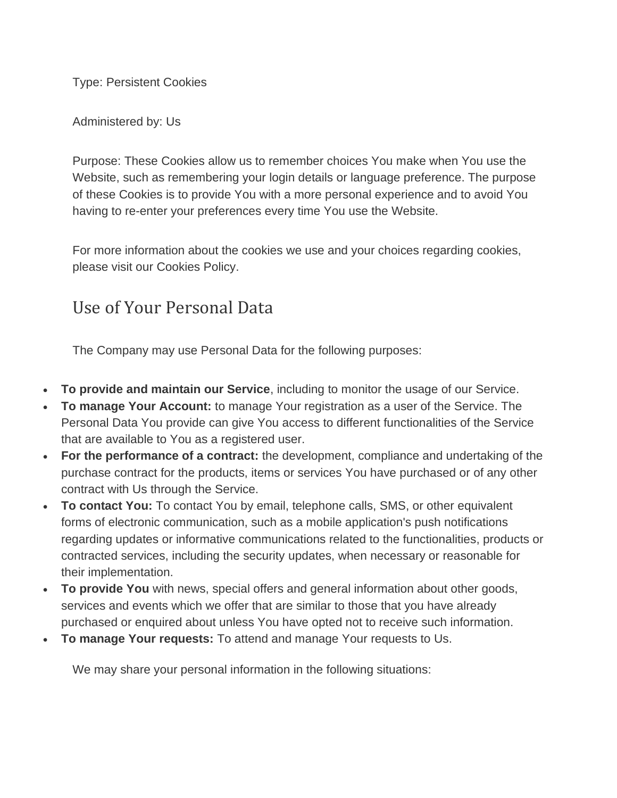Type: Persistent Cookies

Administered by: Us

Purpose: These Cookies allow us to remember choices You make when You use the Website, such as remembering your login details or language preference. The purpose of these Cookies is to provide You with a more personal experience and to avoid You having to re-enter your preferences every time You use the Website.

For more information about the cookies we use and your choices regarding cookies, please visit our Cookies Policy.

### Use of Your Personal Data

The Company may use Personal Data for the following purposes:

- **To provide and maintain our Service**, including to monitor the usage of our Service.
- **To manage Your Account:** to manage Your registration as a user of the Service. The Personal Data You provide can give You access to different functionalities of the Service that are available to You as a registered user.
- **For the performance of a contract:** the development, compliance and undertaking of the purchase contract for the products, items or services You have purchased or of any other contract with Us through the Service.
- **To contact You:** To contact You by email, telephone calls, SMS, or other equivalent forms of electronic communication, such as a mobile application's push notifications regarding updates or informative communications related to the functionalities, products or contracted services, including the security updates, when necessary or reasonable for their implementation.
- **To provide You** with news, special offers and general information about other goods, services and events which we offer that are similar to those that you have already purchased or enquired about unless You have opted not to receive such information.
- **To manage Your requests:** To attend and manage Your requests to Us.

We may share your personal information in the following situations: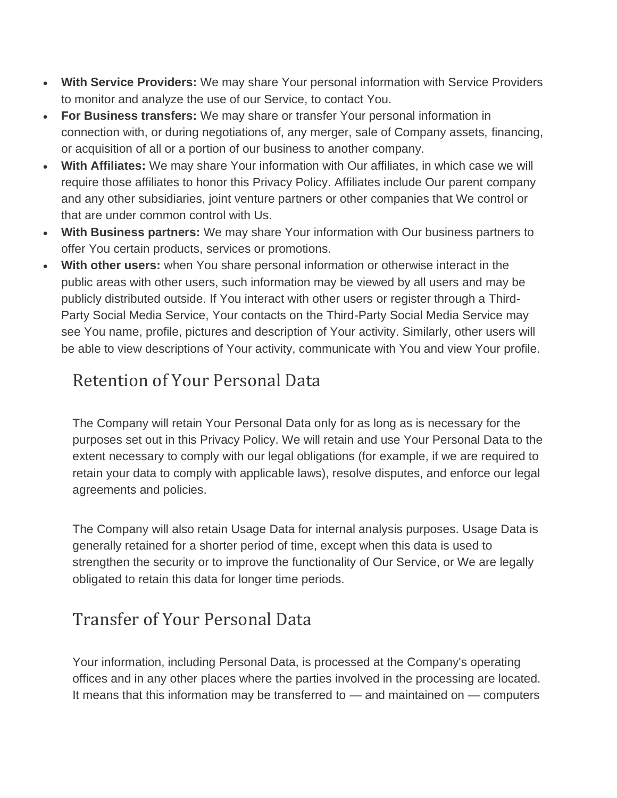- **With Service Providers:** We may share Your personal information with Service Providers to monitor and analyze the use of our Service, to contact You.
- **For Business transfers:** We may share or transfer Your personal information in connection with, or during negotiations of, any merger, sale of Company assets, financing, or acquisition of all or a portion of our business to another company.
- **With Affiliates:** We may share Your information with Our affiliates, in which case we will require those affiliates to honor this Privacy Policy. Affiliates include Our parent company and any other subsidiaries, joint venture partners or other companies that We control or that are under common control with Us.
- **With Business partners:** We may share Your information with Our business partners to offer You certain products, services or promotions.
- **With other users:** when You share personal information or otherwise interact in the public areas with other users, such information may be viewed by all users and may be publicly distributed outside. If You interact with other users or register through a Third-Party Social Media Service, Your contacts on the Third-Party Social Media Service may see You name, profile, pictures and description of Your activity. Similarly, other users will be able to view descriptions of Your activity, communicate with You and view Your profile.

## Retention of Your Personal Data

The Company will retain Your Personal Data only for as long as is necessary for the purposes set out in this Privacy Policy. We will retain and use Your Personal Data to the extent necessary to comply with our legal obligations (for example, if we are required to retain your data to comply with applicable laws), resolve disputes, and enforce our legal agreements and policies.

The Company will also retain Usage Data for internal analysis purposes. Usage Data is generally retained for a shorter period of time, except when this data is used to strengthen the security or to improve the functionality of Our Service, or We are legally obligated to retain this data for longer time periods.

## Transfer of Your Personal Data

Your information, including Personal Data, is processed at the Company's operating offices and in any other places where the parties involved in the processing are located. It means that this information may be transferred to — and maintained on — computers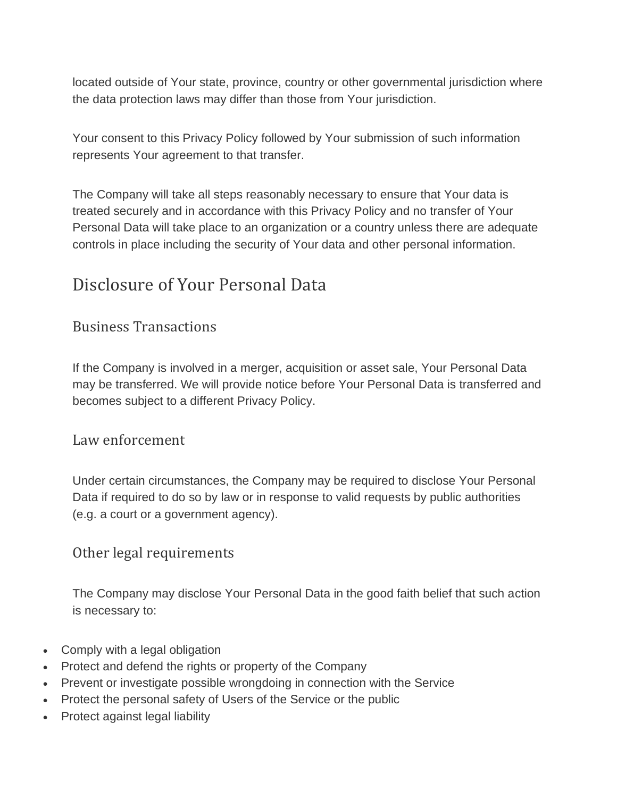located outside of Your state, province, country or other governmental jurisdiction where the data protection laws may differ than those from Your jurisdiction.

Your consent to this Privacy Policy followed by Your submission of such information represents Your agreement to that transfer.

The Company will take all steps reasonably necessary to ensure that Your data is treated securely and in accordance with this Privacy Policy and no transfer of Your Personal Data will take place to an organization or a country unless there are adequate controls in place including the security of Your data and other personal information.

#### Disclosure of Your Personal Data

#### Business Transactions

If the Company is involved in a merger, acquisition or asset sale, Your Personal Data may be transferred. We will provide notice before Your Personal Data is transferred and becomes subject to a different Privacy Policy.

#### Law enforcement

Under certain circumstances, the Company may be required to disclose Your Personal Data if required to do so by law or in response to valid requests by public authorities (e.g. a court or a government agency).

#### Other legal requirements

The Company may disclose Your Personal Data in the good faith belief that such action is necessary to:

- Comply with a legal obligation
- Protect and defend the rights or property of the Company
- Prevent or investigate possible wrongdoing in connection with the Service
- Protect the personal safety of Users of the Service or the public
- Protect against legal liability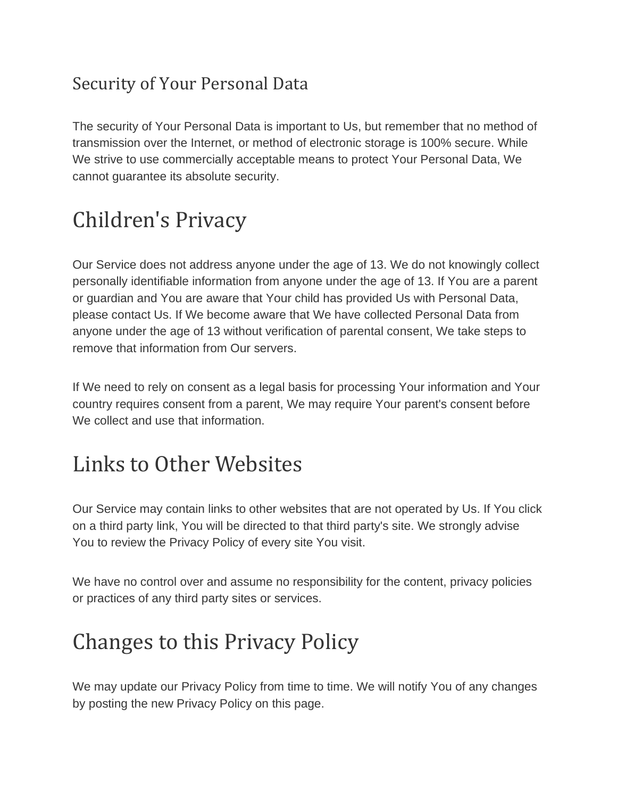## Security of Your Personal Data

The security of Your Personal Data is important to Us, but remember that no method of transmission over the Internet, or method of electronic storage is 100% secure. While We strive to use commercially acceptable means to protect Your Personal Data, We cannot guarantee its absolute security.

# Children's Privacy

Our Service does not address anyone under the age of 13. We do not knowingly collect personally identifiable information from anyone under the age of 13. If You are a parent or guardian and You are aware that Your child has provided Us with Personal Data, please contact Us. If We become aware that We have collected Personal Data from anyone under the age of 13 without verification of parental consent, We take steps to remove that information from Our servers.

If We need to rely on consent as a legal basis for processing Your information and Your country requires consent from a parent, We may require Your parent's consent before We collect and use that information.

## Links to Other Websites

Our Service may contain links to other websites that are not operated by Us. If You click on a third party link, You will be directed to that third party's site. We strongly advise You to review the Privacy Policy of every site You visit.

We have no control over and assume no responsibility for the content, privacy policies or practices of any third party sites or services.

## Changes to this Privacy Policy

We may update our Privacy Policy from time to time. We will notify You of any changes by posting the new Privacy Policy on this page.